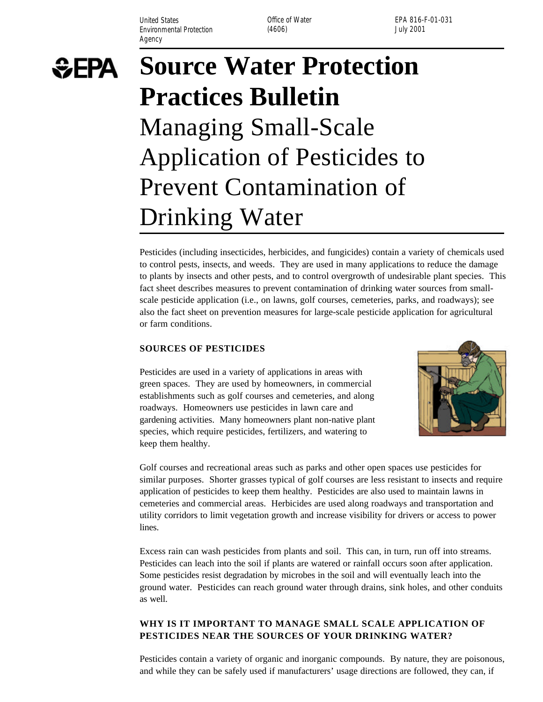United States **Office of Water** Environmental Protection (4606) (3606) and the University of the University of the University of the University of the University of the University of the University of the University of the University of the University of Agency

EPA 816-F-01-031

# **SEPA**

# **Source Water Protection Practices Bulletin**  Managing Small-Scale Application of Pesticides to Prevent Contamination of Drinking Water

Pesticides (including insecticides, herbicides, and fungicides) contain a variety of chemicals used to control pests, insects, and weeds. They are used in many applications to reduce the damage to plants by insects and other pests, and to control overgrowth of undesirable plant species. This fact sheet describes measures to prevent contamination of drinking water sources from smallscale pesticide application (i.e., on lawns, golf courses, cemeteries, parks, and roadways); see also the fact sheet on prevention measures for large-scale pesticide application for agricultural or farm conditions.

# **SOURCES OF PESTICIDES**

Pesticides are used in a variety of applications in areas with green spaces. They are used by homeowners, in commercial establishments such as golf courses and cemeteries, and along roadways. Homeowners use pesticides in lawn care and gardening activities. Many homeowners plant non-native plant species, which require pesticides, fertilizers, and watering to keep them healthy.



Golf courses and recreational areas such as parks and other open spaces use pesticides for similar purposes. Shorter grasses typical of golf courses are less resistant to insects and require application of pesticides to keep them healthy. Pesticides are also used to maintain lawns in cemeteries and commercial areas. Herbicides are used along roadways and transportation and utility corridors to limit vegetation growth and increase visibility for drivers or access to power lines.

Excess rain can wash pesticides from plants and soil. This can, in turn, run off into streams. Pesticides can leach into the soil if plants are watered or rainfall occurs soon after application. Some pesticides resist degradation by microbes in the soil and will eventually leach into the ground water. Pesticides can reach ground water through drains, sink holes, and other conduits as well.

# **WHY IS IT IMPORTANT TO MANAGE SMALL SCALE APPLICATION OF PESTICIDES NEAR THE SOURCES OF YOUR DRINKING WATER?**

Pesticides contain a variety of organic and inorganic compounds. By nature, they are poisonous, and while they can be safely used if manufacturers' usage directions are followed, they can, if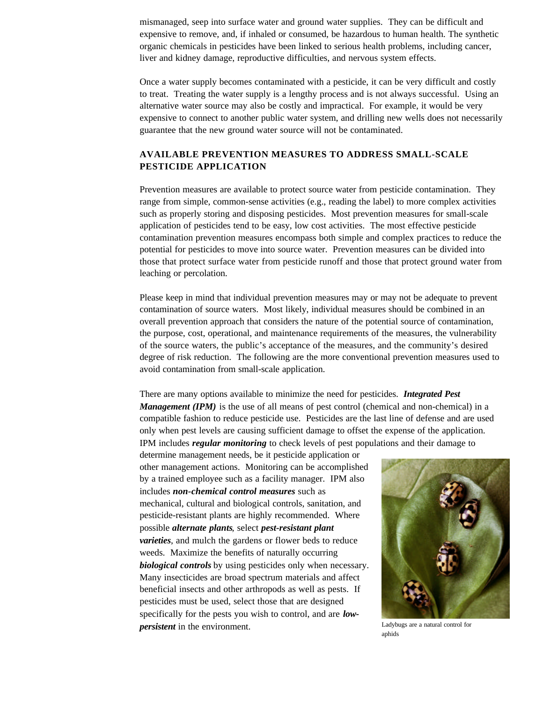mismanaged, seep into surface water and ground water supplies. They can be difficult and expensive to remove, and, if inhaled or consumed, be hazardous to human health. The synthetic organic chemicals in pesticides have been linked to serious health problems, including cancer, liver and kidney damage, reproductive difficulties, and nervous system effects.

Once a water supply becomes contaminated with a pesticide, it can be very difficult and costly to treat. Treating the water supply is a lengthy process and is not always successful. Using an alternative water source may also be costly and impractical. For example, it would be very expensive to connect to another public water system, and drilling new wells does not necessarily guarantee that the new ground water source will not be contaminated.

# **AVAILABLE PREVENTION MEASURES TO ADDRESS SMALL-SCALE PESTICIDE APPLICATION**

Prevention measures are available to protect source water from pesticide contamination. They range from simple, common-sense activities (e.g., reading the label) to more complex activities such as properly storing and disposing pesticides. Most prevention measures for small-scale application of pesticides tend to be easy, low cost activities. The most effective pesticide contamination prevention measures encompass both simple and complex practices to reduce the potential for pesticides to move into source water. Prevention measures can be divided into those that protect surface water from pesticide runoff and those that protect ground water from leaching or percolation.

Please keep in mind that individual prevention measures may or may not be adequate to prevent contamination of source waters. Most likely, individual measures should be combined in an overall prevention approach that considers the nature of the potential source of contamination, the purpose, cost, operational, and maintenance requirements of the measures, the vulnerability of the source waters, the public's acceptance of the measures, and the community's desired degree of risk reduction. The following are the more conventional prevention measures used to avoid contamination from small-scale application.

There are many options available to minimize the need for pesticides. *Integrated Pest Management (IPM)* is the use of all means of pest control (chemical and non-chemical) in a compatible fashion to reduce pesticide use. Pesticides are the last line of defense and are used only when pest levels are causing sufficient damage to offset the expense of the application. IPM includes *regular monitoring* to check levels of pest populations and their damage to

determine management needs, be it pesticide application or other management actions. Monitoring can be accomplished by a trained employee such as a facility manager. IPM also includes *non-chemical control measures* such as mechanical, cultural and biological controls, sanitation, and pesticide-resistant plants are highly recommended. Where possible *alternate plants*, select *pest-resistant plant varieties*, and mulch the gardens or flower beds to reduce weeds. Maximize the benefits of naturally occurring *biological controls* by using pesticides only when necessary. Many insecticides are broad spectrum materials and affect beneficial insects and other arthropods as well as pests. If pesticides must be used, select those that are designed specifically for the pests you wish to control, and are *lowpersistent* in the environment.



aphids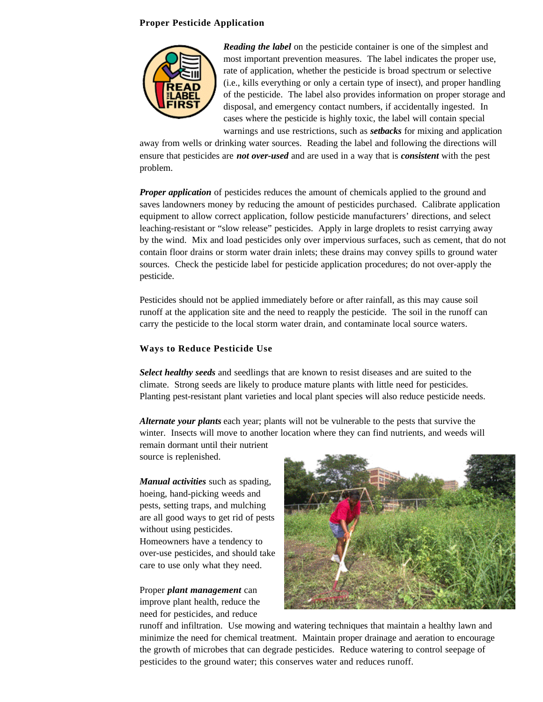### **Proper Pesticide Application**



*Reading the label* on the pesticide container is one of the simplest and most important prevention measures. The label indicates the proper use, rate of application, whether the pesticide is broad spectrum or selective (i.e., kills everything or only a certain type of insect), and proper handling of the pesticide. The label also provides information on proper storage and disposal, and emergency contact numbers, if accidentally ingested. In cases where the pesticide is highly toxic, the label will contain special warnings and use restrictions, such as *setbacks* for mixing and application

away from wells or drinking water sources. Reading the label and following the directions will ensure that pesticides are *not over-used* and are used in a way that is *consistent* with the pest problem.

*Proper application* of pesticides reduces the amount of chemicals applied to the ground and saves landowners money by reducing the amount of pesticides purchased. Calibrate application equipment to allow correct application, follow pesticide manufacturers' directions, and select leaching-resistant or "slow release" pesticides. Apply in large droplets to resist carrying away by the wind. Mix and load pesticides only over impervious surfaces, such as cement, that do not contain floor drains or storm water drain inlets; these drains may convey spills to ground water sources. Check the pesticide label for pesticide application procedures; do not over-apply the pesticide.

Pesticides should not be applied immediately before or after rainfall, as this may cause soil runoff at the application site and the need to reapply the pesticide. The soil in the runoff can carry the pesticide to the local storm water drain, and contaminate local source waters.

### **Ways to Reduce Pesticide Use**

*Select healthy seeds* and seedlings that are known to resist diseases and are suited to the climate. Strong seeds are likely to produce mature plants with little need for pesticides. Planting pest-resistant plant varieties and local plant species will also reduce pesticide needs.

*Alternate your plants* each year; plants will not be vulnerable to the pests that survive the winter. Insects will move to another location where they can find nutrients, and weeds will

remain dormant until their nutrient source is replenished.

*Manual activities* such as spading, hoeing, hand-picking weeds and pests, setting traps, and mulching are all good ways to get rid of pests without using pesticides. Homeowners have a tendency to over-use pesticides, and should take care to use only what they need.

Proper *plant management* can improve plant health, reduce the need for pesticides, and reduce



runoff and infiltration. Use mowing and watering techniques that maintain a healthy lawn and minimize the need for chemical treatment. Maintain proper drainage and aeration to encourage the growth of microbes that can degrade pesticides. Reduce watering to control seepage of pesticides to the ground water; this conserves water and reduces runoff.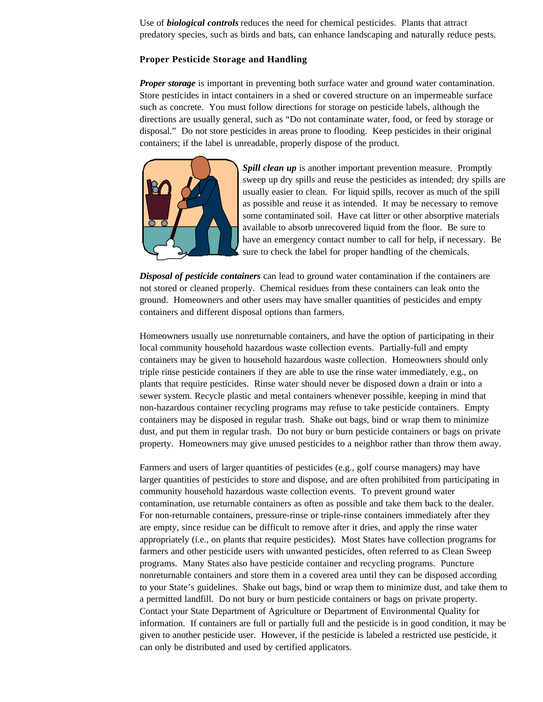Use of *biological controls* reduces the need for chemical pesticides. Plants that attract predatory species, such as birds and bats, can enhance landscaping and naturally reduce pests.

#### **Proper Pesticide Storage and Handling**

*Proper storage* is important in preventing both surface water and ground water contamination. Store pesticides in intact containers in a shed or covered structure on an impermeable surface such as concrete. You must follow directions for storage on pesticide labels, although the directions are usually general, such as "Do not contaminate water, food, or feed by storage or disposal." Do not store pesticides in areas prone to flooding. Keep pesticides in their original containers; if the label is unreadable, properly dispose of the product.



*Spill clean up* is another important prevention measure. Promptly sweep up dry spills and reuse the pesticides as intended; dry spills are usually easier to clean. For liquid spills, recover as much of the spill as possible and reuse it as intended. It may be necessary to remove some contaminated soil. Have cat litter or other absorptive materials available to absorb unrecovered liquid from the floor. Be sure to have an emergency contact number to call for help, if necessary. Be sure to check the label for proper handling of the chemicals.

*Disposal of pesticide containers* can lead to ground water contamination if the containers are not stored or cleaned properly. Chemical residues from these containers can leak onto the ground. Homeowners and other users may have smaller quantities of pesticides and empty containers and different disposal options than farmers.

Homeowners usually use nonreturnable containers, and have the option of participating in their local community household hazardous waste collection events. Partially-full and empty containers may be given to household hazardous waste collection. Homeowners should only triple rinse pesticide containers if they are able to use the rinse water immediately, e.g., on plants that require pesticides. Rinse water should never be disposed down a drain or into a sewer system. Recycle plastic and metal containers whenever possible, keeping in mind that non-hazardous container recycling programs may refuse to take pesticide containers. Empty containers may be disposed in regular trash. Shake out bags, bind or wrap them to minimize dust, and put them in regular trash. Do not bury or burn pesticide containers or bags on private property. Homeowners may give unused pesticides to a neighbor rather than throw them away.

Farmers and users of larger quantities of pesticides (e.g., golf course managers) may have larger quantities of pesticides to store and dispose, and are often prohibited from participating in community household hazardous waste collection events. To prevent ground water contamination, use returnable containers as often as possible and take them back to the dealer. For non-returnable containers, pressure-rinse or triple-rinse containers immediately after they are empty, since residue can be difficult to remove after it dries, and apply the rinse water appropriately (i.e., on plants that require pesticides). Most States have collection programs for farmers and other pesticide users with unwanted pesticides, often referred to as Clean Sweep programs. Many States also have pesticide container and recycling programs. Puncture nonreturnable containers and store them in a covered area until they can be disposed according to your State's guidelines. Shake out bags, bind or wrap them to minimize dust, and take them to a permitted landfill. Do not bury or burn pesticide containers or bags on private property. Contact your State Department of Agriculture or Department of Environmental Quality for information. If containers are full or partially full and the pesticide is in good condition, it may be given to another pesticide user. However, if the pesticide is labeled a restricted use pesticide, it can only be distributed and used by certified applicators.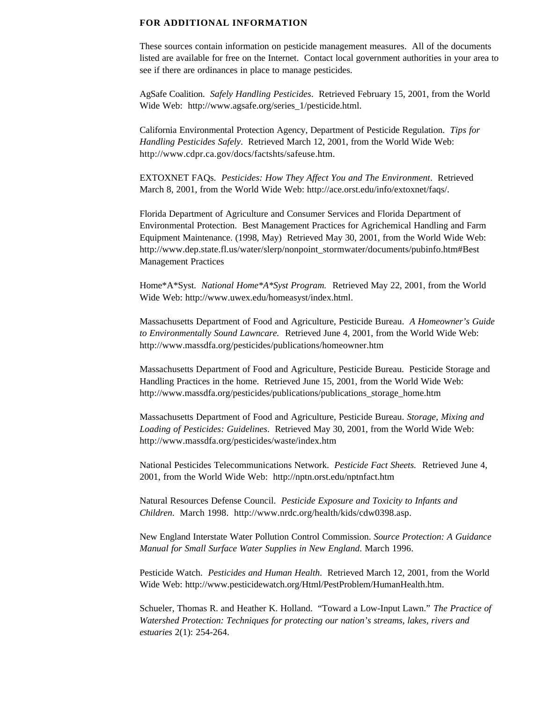#### **FOR ADDITIONAL INFORMATION**

These sources contain information on pesticide management measures. All of the documents listed are available for free on the Internet. Contact local government authorities in your area to see if there are ordinances in place to manage pesticides.

AgSafe Coalition. *Safely Handling Pesticides*. Retrieved February 15, 2001, from the World Wide Web: http://www.agsafe.org/series\_1/pesticide.html.

California Environmental Protection Agency, Department of Pesticide Regulation. *Tips for Handling Pesticides Safely*. Retrieved March 12, 2001, from the World Wide Web: http://www.cdpr.ca.gov/docs/factshts/safeuse.htm.

EXTOXNET FAQs. *Pesticides: How They Affect You and The Environment*. Retrieved March 8, 2001, from the World Wide Web: http://ace.orst.edu/info/extoxnet/faqs/.

Florida Department of Agriculture and Consumer Services and Florida Department of Environmental Protection. Best Management Practices for Agrichemical Handling and Farm Equipment Maintenance. (1998, May) Retrieved May 30, 2001, from the World Wide Web: http://www.dep.state.fl.us/water/slerp/nonpoint\_stormwater/documents/pubinfo.htm#Best Management Practices

Home\*A\*Syst. *National Home\*A\*Syst Program.* Retrieved May 22, 2001, from the World Wide Web: http://www.uwex.edu/homeasyst/index.html.

Massachusetts Department of Food and Agriculture, Pesticide Bureau. *A Homeowner's Guide to Environmentally Sound Lawncare.* Retrieved June 4, 2001, from the World Wide Web: http://www.massdfa.org/pesticides/publications/homeowner.htm

Massachusetts Department of Food and Agriculture, Pesticide Bureau. Pesticide Storage and Handling Practices in the home. Retrieved June 15, 2001, from the World Wide Web: http://www.massdfa.org/pesticides/publications/publications\_storage\_home.htm

Massachusetts Department of Food and Agriculture, Pesticide Bureau. *Storage, Mixing and Loading of Pesticides: Guidelines*. Retrieved May 30, 2001, from the World Wide Web: http://www.massdfa.org/pesticides/waste/index.htm

National Pesticides Telecommunications Network. *Pesticide Fact Sheets.* Retrieved June 4, 2001, from the World Wide Web: http://nptn.orst.edu/nptnfact.htm

Natural Resources Defense Council. *Pesticide Exposure and Toxicity to Infants and Children*. March 1998. http://www.nrdc.org/health/kids/cdw0398.asp.

New England Interstate Water Pollution Control Commission. *Source Protection: A Guidance Manual for Small Surface Water Supplies in New England*. March 1996.

Pesticide Watch. *Pesticides and Human Health*. Retrieved March 12, 2001, from the World Wide Web: http://www.pesticidewatch.org/Html/PestProblem/HumanHealth.htm.

Schueler, Thomas R. and Heather K. Holland. "Toward a Low-Input Lawn." *The Practice of Watershed Protection: Techniques for protecting our nation's streams, lakes, rivers and estuaries* 2(1): 254-264.